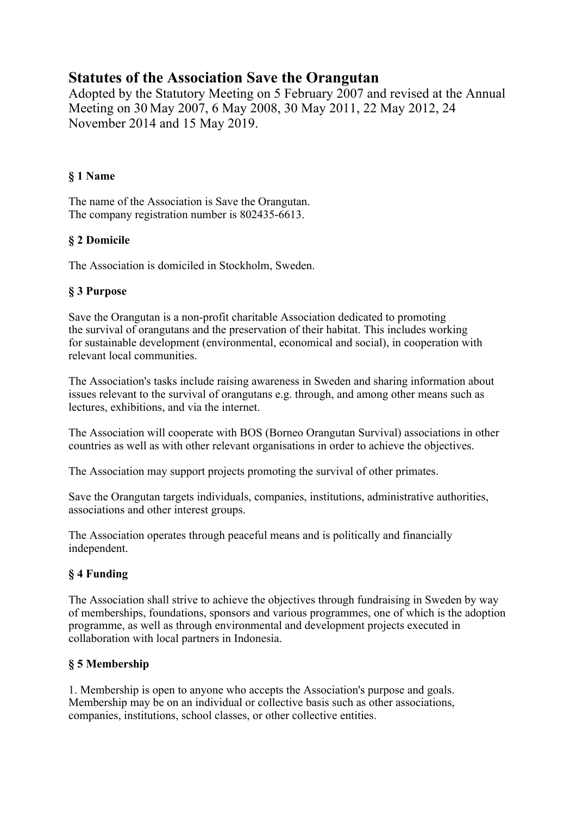# **Statutes of the Association Save the Orangutan**

Adopted by the Statutory Meeting on 5 February 2007 and revised at the Annual Meeting on 30 May 2007, 6 May 2008, 30 May 2011, 22 May 2012, 24 November 2014 and 15 May 2019.

### **§ 1 Name**

The name of the Association is Save the Orangutan. The company registration number is 802435-6613.

## **§ 2 Domicile**

The Association is domiciled in Stockholm, Sweden.

## **§ 3 Purpose**

Save the Orangutan is a non-profit charitable Association dedicated to promoting the survival of orangutans and the preservation of their habitat. This includes working for sustainable development (environmental, economical and social), in cooperation with relevant local communities.

The Association's tasks include raising awareness in Sweden and sharing information about issues relevant to the survival of orangutans e.g. through, and among other means such as lectures, exhibitions, and via the internet.

The Association will cooperate with BOS (Borneo Orangutan Survival) associations in other countries as well as with other relevant organisations in order to achieve the objectives.

The Association may support projects promoting the survival of other primates.

Save the Orangutan targets individuals, companies, institutions, administrative authorities, associations and other interest groups.

The Association operates through peaceful means and is politically and financially independent.

# **§ 4 Funding**

The Association shall strive to achieve the objectives through fundraising in Sweden by way of memberships, foundations, sponsors and various programmes, one of which is the adoption programme, as well as through environmental and development projects executed in collaboration with local partners in Indonesia.

# **§ 5 Membership**

1. Membership is open to anyone who accepts the Association's purpose and goals. Membership may be on an individual or collective basis such as other associations, companies, institutions, school classes, or other collective entities.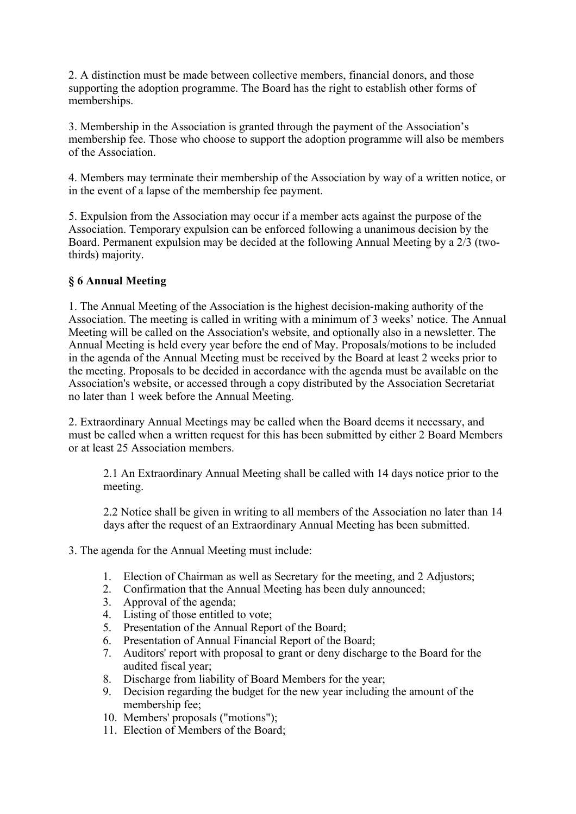2. A distinction must be made between collective members, financial donors, and those supporting the adoption programme. The Board has the right to establish other forms of memberships.

3. Membership in the Association is granted through the payment of the Association's membership fee. Those who choose to support the adoption programme will also be members of the Association.

4. Members may terminate their membership of the Association by way of a written notice, or in the event of a lapse of the membership fee payment.

5. Expulsion from the Association may occur if a member acts against the purpose of the Association. Temporary expulsion can be enforced following a unanimous decision by the Board. Permanent expulsion may be decided at the following Annual Meeting by a 2/3 (twothirds) majority.

#### **§ 6 Annual Meeting**

1. The Annual Meeting of the Association is the highest decision-making authority of the Association. The meeting is called in writing with a minimum of 3 weeks' notice. The Annual Meeting will be called on the Association's website, and optionally also in a newsletter. The Annual Meeting is held every year before the end of May. Proposals/motions to be included in the agenda of the Annual Meeting must be received by the Board at least 2 weeks prior to the meeting. Proposals to be decided in accordance with the agenda must be available on the Association's website, or accessed through a copy distributed by the Association Secretariat no later than 1 week before the Annual Meeting.

2. Extraordinary Annual Meetings may be called when the Board deems it necessary, and must be called when a written request for this has been submitted by either 2 Board Members or at least 25 Association members.

2.1 An Extraordinary Annual Meeting shall be called with 14 days notice prior to the meeting.

2.2 Notice shall be given in writing to all members of the Association no later than 14 days after the request of an Extraordinary Annual Meeting has been submitted.

- 3. The agenda for the Annual Meeting must include:
	- 1. Election of Chairman as well as Secretary for the meeting, and 2 Adjustors;
	- 2. Confirmation that the Annual Meeting has been duly announced;
	- 3. Approval of the agenda;
	- 4. Listing of those entitled to vote;
	- 5. Presentation of the Annual Report of the Board;
	- 6. Presentation of Annual Financial Report of the Board;
	- 7. Auditors' report with proposal to grant or deny discharge to the Board for the audited fiscal year;
	- 8. Discharge from liability of Board Members for the year;
	- 9. Decision regarding the budget for the new year including the amount of the membership fee;
	- 10. Members' proposals ("motions");
	- 11. Election of Members of the Board;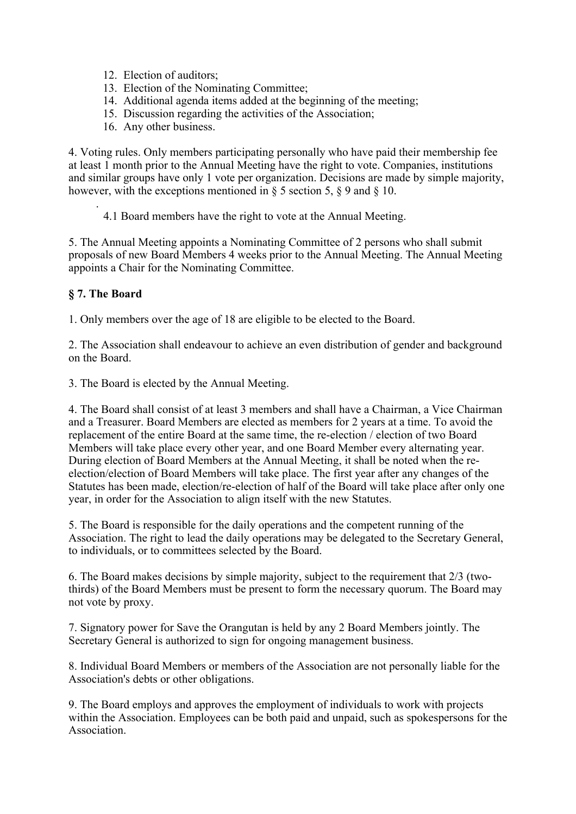- 12. Election of auditors;
- 13. Election of the Nominating Committee;
- 14. Additional agenda items added at the beginning of the meeting;
- 15. Discussion regarding the activities of the Association;
- 16. Any other business.

4. Voting rules. Only members participating personally who have paid their membership fee at least 1 month prior to the Annual Meeting have the right to vote. Companies, institutions and similar groups have only 1 vote per organization. Decisions are made by simple majority, however, with the exceptions mentioned in § 5 section 5, § 9 and § 10.

. 4.1 Board members have the right to vote at the Annual Meeting.

5. The Annual Meeting appoints a Nominating Committee of 2 persons who shall submit proposals of new Board Members 4 weeks prior to the Annual Meeting. The Annual Meeting appoints a Chair for the Nominating Committee.

#### **§ 7. The Board**

1. Only members over the age of 18 are eligible to be elected to the Board.

2. The Association shall endeavour to achieve an even distribution of gender and background on the Board.

3. The Board is elected by the Annual Meeting.

4. The Board shall consist of at least 3 members and shall have a Chairman, a Vice Chairman and a Treasurer. Board Members are elected as members for 2 years at a time. To avoid the replacement of the entire Board at the same time, the re-election / election of two Board Members will take place every other year, and one Board Member every alternating year. During election of Board Members at the Annual Meeting, it shall be noted when the reelection/election of Board Members will take place. The first year after any changes of the Statutes has been made, election/re-election of half of the Board will take place after only one year, in order for the Association to align itself with the new Statutes.

5. The Board is responsible for the daily operations and the competent running of the Association. The right to lead the daily operations may be delegated to the Secretary General, to individuals, or to committees selected by the Board.

6. The Board makes decisions by simple majority, subject to the requirement that 2/3 (twothirds) of the Board Members must be present to form the necessary quorum. The Board may not vote by proxy.

7. Signatory power for Save the Orangutan is held by any 2 Board Members jointly. The Secretary General is authorized to sign for ongoing management business.

8. Individual Board Members or members of the Association are not personally liable for the Association's debts or other obligations.

9. The Board employs and approves the employment of individuals to work with projects within the Association. Employees can be both paid and unpaid, such as spokespersons for the Association.